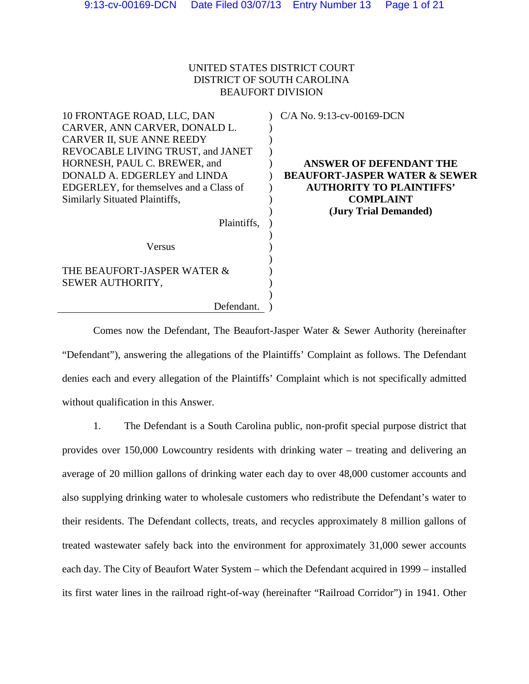# UNITED STATES DISTRICT COURT DISTRICT OF SOUTH CAROLINA BEAUFORT DIVISION

| 10 FRONTAGE ROAD, LLC, DAN<br>CARVER, ANN CARVER, DONALD L.<br>CARVER II, SUE ANNE REEDY<br>REVOCABLE LIVING TRUST, and JANET<br>HORNESH, PAUL C. BREWER, and | $C/A$ No. 9:13-cv-00169-DCN<br><b>ANSWER OF DEFENDANT THE</b> |
|---------------------------------------------------------------------------------------------------------------------------------------------------------------|---------------------------------------------------------------|
| DONALD A. EDGERLEY and LINDA                                                                                                                                  | <b>BEAUFORT-JASPER WATER &amp; SEWER</b>                      |
| EDGERLEY, for themselves and a Class of                                                                                                                       | <b>AUTHORITY TO PLAINTIFFS'</b>                               |
| Similarly Situated Plaintiffs,                                                                                                                                | <b>COMPLAINT</b>                                              |
|                                                                                                                                                               | (Jury Trial Demanded)                                         |
| Plaintiffs,                                                                                                                                                   |                                                               |
|                                                                                                                                                               |                                                               |
| Versus                                                                                                                                                        |                                                               |
| THE BEAUFORT-JASPER WATER &<br>SEWER AUTHORITY,                                                                                                               |                                                               |
| Defendant.                                                                                                                                                    |                                                               |

Comes now the Defendant, The Beaufort-Jasper Water & Sewer Authority (hereinafter "Defendant"), answering the allegations of the Plaintiffs' Complaint as follows. The Defendant denies each and every allegation of the Plaintiffs' Complaint which is not specifically admitted without qualification in this Answer.

1. The Defendant is a South Carolina public, non-profit special purpose district that provides over 150,000 Lowcountry residents with drinking water – treating and delivering an average of 20 million gallons of drinking water each day to over 48,000 customer accounts and also supplying drinking water to wholesale customers who redistribute the Defendant's water to their residents. The Defendant collects, treats, and recycles approximately 8 million gallons of treated wastewater safely back into the environment for approximately 31,000 sewer accounts each day. The City of Beaufort Water System – which the Defendant acquired in 1999 – installed its first water lines in the railroad right-of-way (hereinafter "Railroad Corridor") in 1941. Other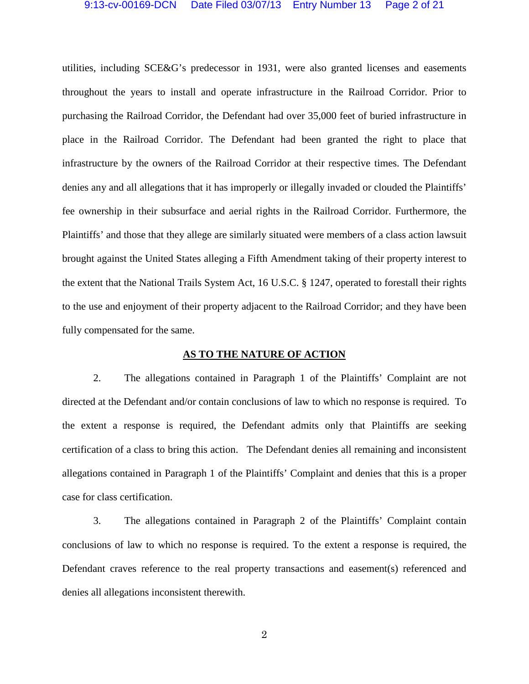utilities, including SCE&G's predecessor in 1931, were also granted licenses and easements throughout the years to install and operate infrastructure in the Railroad Corridor. Prior to purchasing the Railroad Corridor, the Defendant had over 35,000 feet of buried infrastructure in place in the Railroad Corridor. The Defendant had been granted the right to place that infrastructure by the owners of the Railroad Corridor at their respective times. The Defendant denies any and all allegations that it has improperly or illegally invaded or clouded the Plaintiffs' fee ownership in their subsurface and aerial rights in the Railroad Corridor. Furthermore, the Plaintiffs' and those that they allege are similarly situated were members of a class action lawsuit brought against the United States alleging a Fifth Amendment taking of their property interest to the extent that the National Trails System Act, 16 U.S.C. § 1247, operated to forestall their rights to the use and enjoyment of their property adjacent to the Railroad Corridor; and they have been fully compensated for the same.

## **AS TO THE NATURE OF ACTION**

2. The allegations contained in Paragraph 1 of the Plaintiffs' Complaint are not directed at the Defendant and/or contain conclusions of law to which no response is required. To the extent a response is required, the Defendant admits only that Plaintiffs are seeking certification of a class to bring this action. The Defendant denies all remaining and inconsistent allegations contained in Paragraph 1 of the Plaintiffs' Complaint and denies that this is a proper case for class certification.

3. The allegations contained in Paragraph 2 of the Plaintiffs' Complaint contain conclusions of law to which no response is required. To the extent a response is required, the Defendant craves reference to the real property transactions and easement(s) referenced and denies all allegations inconsistent therewith.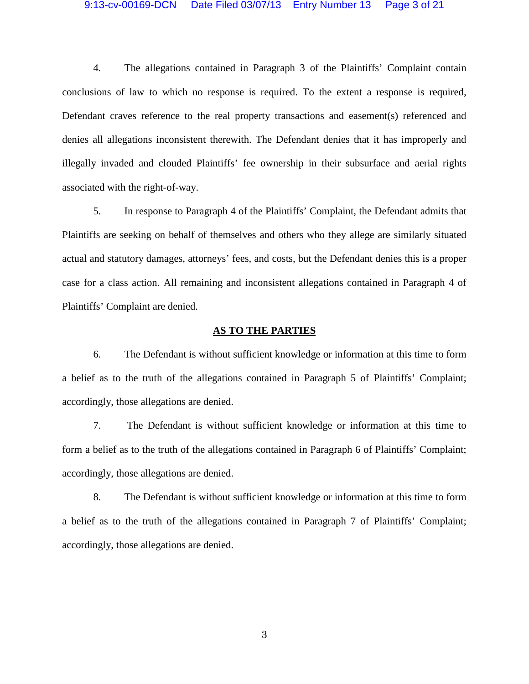## 9:13-cv-00169-DCN Date Filed 03/07/13 Entry Number 13 Page 3 of 21

4. The allegations contained in Paragraph 3 of the Plaintiffs' Complaint contain conclusions of law to which no response is required. To the extent a response is required, Defendant craves reference to the real property transactions and easement(s) referenced and denies all allegations inconsistent therewith. The Defendant denies that it has improperly and illegally invaded and clouded Plaintiffs' fee ownership in their subsurface and aerial rights associated with the right-of-way.

5. In response to Paragraph 4 of the Plaintiffs' Complaint, the Defendant admits that Plaintiffs are seeking on behalf of themselves and others who they allege are similarly situated actual and statutory damages, attorneys' fees, and costs, but the Defendant denies this is a proper case for a class action. All remaining and inconsistent allegations contained in Paragraph 4 of Plaintiffs' Complaint are denied.

#### **AS TO THE PARTIES**

6. The Defendant is without sufficient knowledge or information at this time to form a belief as to the truth of the allegations contained in Paragraph 5 of Plaintiffs' Complaint; accordingly, those allegations are denied.

7. The Defendant is without sufficient knowledge or information at this time to form a belief as to the truth of the allegations contained in Paragraph 6 of Plaintiffs' Complaint; accordingly, those allegations are denied.

8. The Defendant is without sufficient knowledge or information at this time to form a belief as to the truth of the allegations contained in Paragraph 7 of Plaintiffs' Complaint; accordingly, those allegations are denied.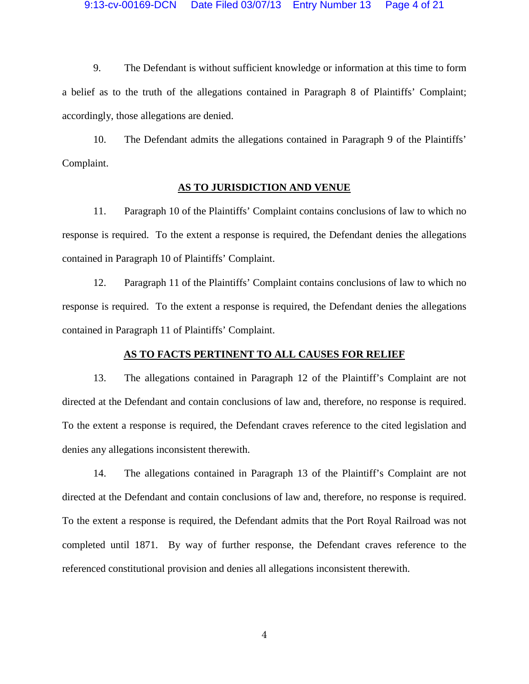9. The Defendant is without sufficient knowledge or information at this time to form a belief as to the truth of the allegations contained in Paragraph 8 of Plaintiffs' Complaint; accordingly, those allegations are denied.

10. The Defendant admits the allegations contained in Paragraph 9 of the Plaintiffs' Complaint.

## **AS TO JURISDICTION AND VENUE**

11. Paragraph 10 of the Plaintiffs' Complaint contains conclusions of law to which no response is required. To the extent a response is required, the Defendant denies the allegations contained in Paragraph 10 of Plaintiffs' Complaint.

12. Paragraph 11 of the Plaintiffs' Complaint contains conclusions of law to which no response is required. To the extent a response is required, the Defendant denies the allegations contained in Paragraph 11 of Plaintiffs' Complaint.

### **AS TO FACTS PERTINENT TO ALL CAUSES FOR RELIEF**

13. The allegations contained in Paragraph 12 of the Plaintiff's Complaint are not directed at the Defendant and contain conclusions of law and, therefore, no response is required. To the extent a response is required, the Defendant craves reference to the cited legislation and denies any allegations inconsistent therewith.

14. The allegations contained in Paragraph 13 of the Plaintiff's Complaint are not directed at the Defendant and contain conclusions of law and, therefore, no response is required. To the extent a response is required, the Defendant admits that the Port Royal Railroad was not completed until 1871. By way of further response, the Defendant craves reference to the referenced constitutional provision and denies all allegations inconsistent therewith.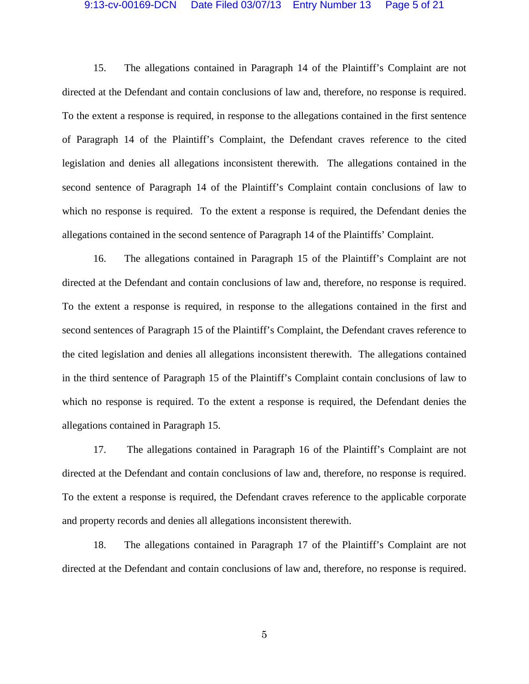### 9:13-cv-00169-DCN Date Filed 03/07/13 Entry Number 13 Page 5 of 21

15. The allegations contained in Paragraph 14 of the Plaintiff's Complaint are not directed at the Defendant and contain conclusions of law and, therefore, no response is required. To the extent a response is required, in response to the allegations contained in the first sentence of Paragraph 14 of the Plaintiff's Complaint, the Defendant craves reference to the cited legislation and denies all allegations inconsistent therewith. The allegations contained in the second sentence of Paragraph 14 of the Plaintiff's Complaint contain conclusions of law to which no response is required. To the extent a response is required, the Defendant denies the allegations contained in the second sentence of Paragraph 14 of the Plaintiffs' Complaint.

16. The allegations contained in Paragraph 15 of the Plaintiff's Complaint are not directed at the Defendant and contain conclusions of law and, therefore, no response is required. To the extent a response is required, in response to the allegations contained in the first and second sentences of Paragraph 15 of the Plaintiff's Complaint, the Defendant craves reference to the cited legislation and denies all allegations inconsistent therewith. The allegations contained in the third sentence of Paragraph 15 of the Plaintiff's Complaint contain conclusions of law to which no response is required. To the extent a response is required, the Defendant denies the allegations contained in Paragraph 15.

17. The allegations contained in Paragraph 16 of the Plaintiff's Complaint are not directed at the Defendant and contain conclusions of law and, therefore, no response is required. To the extent a response is required, the Defendant craves reference to the applicable corporate and property records and denies all allegations inconsistent therewith.

18. The allegations contained in Paragraph 17 of the Plaintiff's Complaint are not directed at the Defendant and contain conclusions of law and, therefore, no response is required.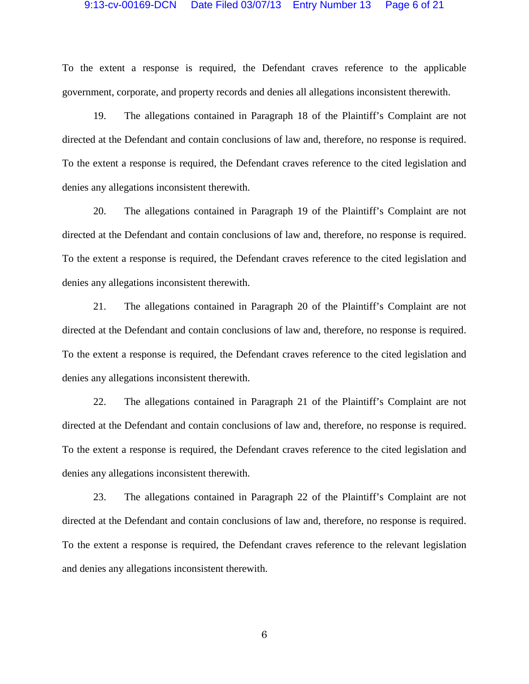### 9:13-cv-00169-DCN Date Filed 03/07/13 Entry Number 13 Page 6 of 21

To the extent a response is required, the Defendant craves reference to the applicable government, corporate, and property records and denies all allegations inconsistent therewith.

19. The allegations contained in Paragraph 18 of the Plaintiff's Complaint are not directed at the Defendant and contain conclusions of law and, therefore, no response is required. To the extent a response is required, the Defendant craves reference to the cited legislation and denies any allegations inconsistent therewith.

20. The allegations contained in Paragraph 19 of the Plaintiff's Complaint are not directed at the Defendant and contain conclusions of law and, therefore, no response is required. To the extent a response is required, the Defendant craves reference to the cited legislation and denies any allegations inconsistent therewith.

21. The allegations contained in Paragraph 20 of the Plaintiff's Complaint are not directed at the Defendant and contain conclusions of law and, therefore, no response is required. To the extent a response is required, the Defendant craves reference to the cited legislation and denies any allegations inconsistent therewith.

22. The allegations contained in Paragraph 21 of the Plaintiff's Complaint are not directed at the Defendant and contain conclusions of law and, therefore, no response is required. To the extent a response is required, the Defendant craves reference to the cited legislation and denies any allegations inconsistent therewith.

23. The allegations contained in Paragraph 22 of the Plaintiff's Complaint are not directed at the Defendant and contain conclusions of law and, therefore, no response is required. To the extent a response is required, the Defendant craves reference to the relevant legislation and denies any allegations inconsistent therewith.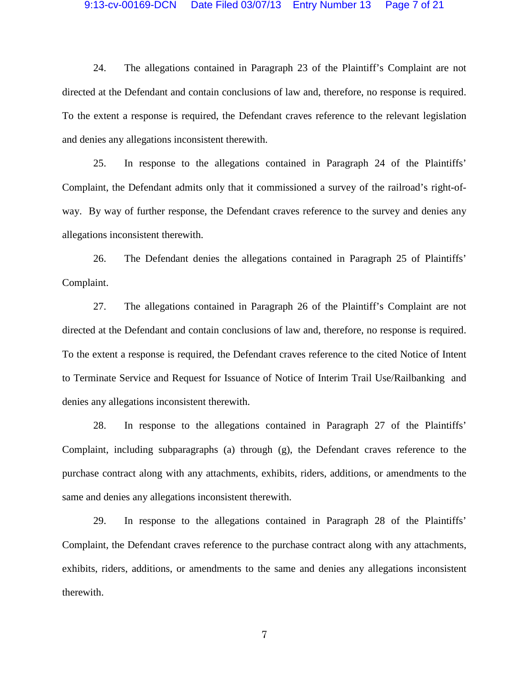### 9:13-cv-00169-DCN Date Filed 03/07/13 Entry Number 13 Page 7 of 21

24. The allegations contained in Paragraph 23 of the Plaintiff's Complaint are not directed at the Defendant and contain conclusions of law and, therefore, no response is required. To the extent a response is required, the Defendant craves reference to the relevant legislation and denies any allegations inconsistent therewith.

25. In response to the allegations contained in Paragraph 24 of the Plaintiffs' Complaint, the Defendant admits only that it commissioned a survey of the railroad's right-ofway. By way of further response, the Defendant craves reference to the survey and denies any allegations inconsistent therewith.

26. The Defendant denies the allegations contained in Paragraph 25 of Plaintiffs' Complaint.

27. The allegations contained in Paragraph 26 of the Plaintiff's Complaint are not directed at the Defendant and contain conclusions of law and, therefore, no response is required. To the extent a response is required, the Defendant craves reference to the cited Notice of Intent to Terminate Service and Request for Issuance of Notice of Interim Trail Use/Railbanking and denies any allegations inconsistent therewith.

28. In response to the allegations contained in Paragraph 27 of the Plaintiffs' Complaint, including subparagraphs (a) through (g), the Defendant craves reference to the purchase contract along with any attachments, exhibits, riders, additions, or amendments to the same and denies any allegations inconsistent therewith.

29. In response to the allegations contained in Paragraph 28 of the Plaintiffs' Complaint, the Defendant craves reference to the purchase contract along with any attachments, exhibits, riders, additions, or amendments to the same and denies any allegations inconsistent therewith.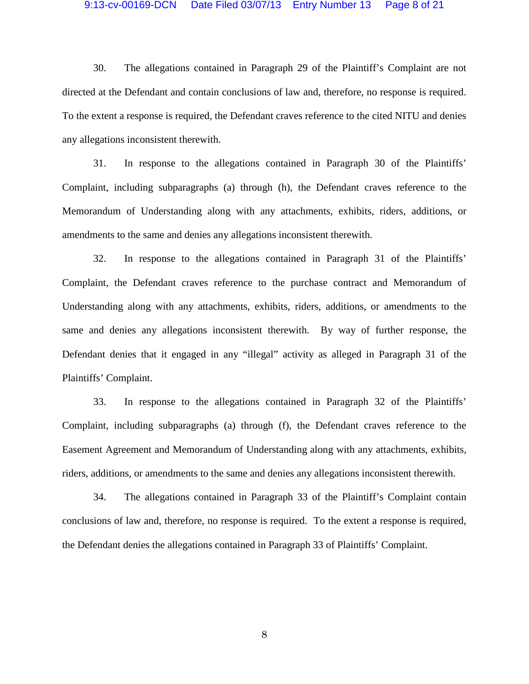## 9:13-cv-00169-DCN Date Filed 03/07/13 Entry Number 13 Page 8 of 21

30. The allegations contained in Paragraph 29 of the Plaintiff's Complaint are not directed at the Defendant and contain conclusions of law and, therefore, no response is required. To the extent a response is required, the Defendant craves reference to the cited NITU and denies any allegations inconsistent therewith.

31. In response to the allegations contained in Paragraph 30 of the Plaintiffs' Complaint, including subparagraphs (a) through (h), the Defendant craves reference to the Memorandum of Understanding along with any attachments, exhibits, riders, additions, or amendments to the same and denies any allegations inconsistent therewith.

32. In response to the allegations contained in Paragraph 31 of the Plaintiffs' Complaint, the Defendant craves reference to the purchase contract and Memorandum of Understanding along with any attachments, exhibits, riders, additions, or amendments to the same and denies any allegations inconsistent therewith. By way of further response, the Defendant denies that it engaged in any "illegal" activity as alleged in Paragraph 31 of the Plaintiffs' Complaint.

33. In response to the allegations contained in Paragraph 32 of the Plaintiffs' Complaint, including subparagraphs (a) through (f), the Defendant craves reference to the Easement Agreement and Memorandum of Understanding along with any attachments, exhibits, riders, additions, or amendments to the same and denies any allegations inconsistent therewith.

34. The allegations contained in Paragraph 33 of the Plaintiff's Complaint contain conclusions of law and, therefore, no response is required. To the extent a response is required, the Defendant denies the allegations contained in Paragraph 33 of Plaintiffs' Complaint.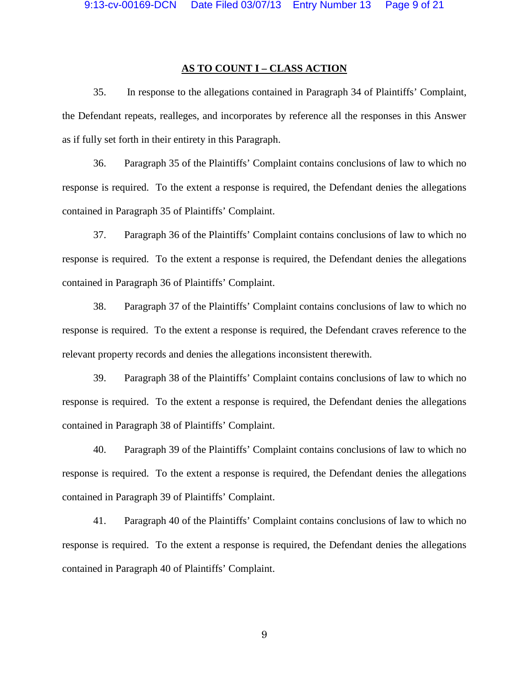## **AS TO COUNT I – CLASS ACTION**

35. In response to the allegations contained in Paragraph 34 of Plaintiffs' Complaint, the Defendant repeats, realleges, and incorporates by reference all the responses in this Answer as if fully set forth in their entirety in this Paragraph.

36. Paragraph 35 of the Plaintiffs' Complaint contains conclusions of law to which no response is required. To the extent a response is required, the Defendant denies the allegations contained in Paragraph 35 of Plaintiffs' Complaint.

37. Paragraph 36 of the Plaintiffs' Complaint contains conclusions of law to which no response is required. To the extent a response is required, the Defendant denies the allegations contained in Paragraph 36 of Plaintiffs' Complaint.

38. Paragraph 37 of the Plaintiffs' Complaint contains conclusions of law to which no response is required. To the extent a response is required, the Defendant craves reference to the relevant property records and denies the allegations inconsistent therewith.

39. Paragraph 38 of the Plaintiffs' Complaint contains conclusions of law to which no response is required. To the extent a response is required, the Defendant denies the allegations contained in Paragraph 38 of Plaintiffs' Complaint.

40. Paragraph 39 of the Plaintiffs' Complaint contains conclusions of law to which no response is required. To the extent a response is required, the Defendant denies the allegations contained in Paragraph 39 of Plaintiffs' Complaint.

41. Paragraph 40 of the Plaintiffs' Complaint contains conclusions of law to which no response is required. To the extent a response is required, the Defendant denies the allegations contained in Paragraph 40 of Plaintiffs' Complaint.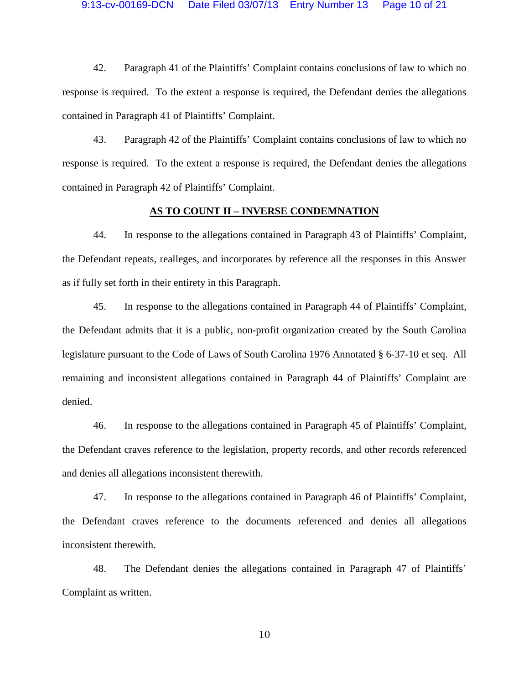42. Paragraph 41 of the Plaintiffs' Complaint contains conclusions of law to which no response is required. To the extent a response is required, the Defendant denies the allegations contained in Paragraph 41 of Plaintiffs' Complaint.

43. Paragraph 42 of the Plaintiffs' Complaint contains conclusions of law to which no response is required. To the extent a response is required, the Defendant denies the allegations contained in Paragraph 42 of Plaintiffs' Complaint.

### **AS TO COUNT II – INVERSE CONDEMNATION**

44. In response to the allegations contained in Paragraph 43 of Plaintiffs' Complaint, the Defendant repeats, realleges, and incorporates by reference all the responses in this Answer as if fully set forth in their entirety in this Paragraph.

45. In response to the allegations contained in Paragraph 44 of Plaintiffs' Complaint, the Defendant admits that it is a public, non-profit organization created by the South Carolina legislature pursuant to the Code of Laws of South Carolina 1976 Annotated § 6-37-10 et seq. All remaining and inconsistent allegations contained in Paragraph 44 of Plaintiffs' Complaint are denied.

46. In response to the allegations contained in Paragraph 45 of Plaintiffs' Complaint, the Defendant craves reference to the legislation, property records, and other records referenced and denies all allegations inconsistent therewith.

47. In response to the allegations contained in Paragraph 46 of Plaintiffs' Complaint, the Defendant craves reference to the documents referenced and denies all allegations inconsistent therewith.

48. The Defendant denies the allegations contained in Paragraph 47 of Plaintiffs' Complaint as written.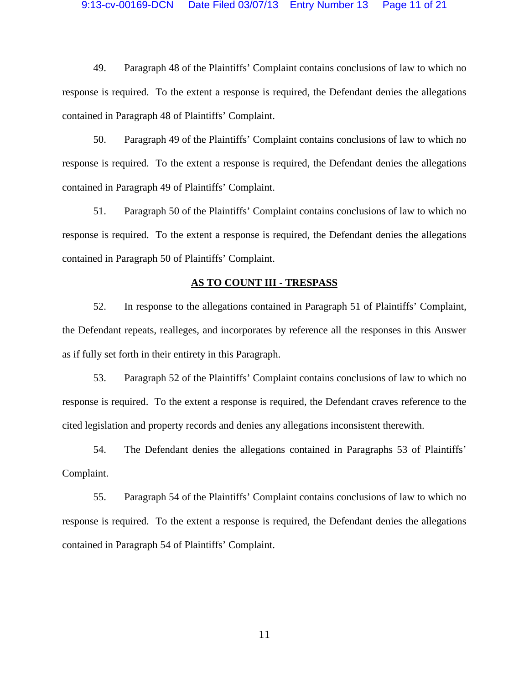## 9:13-cv-00169-DCN Date Filed 03/07/13 Entry Number 13 Page 11 of 21

49. Paragraph 48 of the Plaintiffs' Complaint contains conclusions of law to which no response is required. To the extent a response is required, the Defendant denies the allegations contained in Paragraph 48 of Plaintiffs' Complaint.

50. Paragraph 49 of the Plaintiffs' Complaint contains conclusions of law to which no response is required. To the extent a response is required, the Defendant denies the allegations contained in Paragraph 49 of Plaintiffs' Complaint.

51. Paragraph 50 of the Plaintiffs' Complaint contains conclusions of law to which no response is required. To the extent a response is required, the Defendant denies the allegations contained in Paragraph 50 of Plaintiffs' Complaint.

## **AS TO COUNT III - TRESPASS**

52. In response to the allegations contained in Paragraph 51 of Plaintiffs' Complaint, the Defendant repeats, realleges, and incorporates by reference all the responses in this Answer as if fully set forth in their entirety in this Paragraph.

53. Paragraph 52 of the Plaintiffs' Complaint contains conclusions of law to which no response is required. To the extent a response is required, the Defendant craves reference to the cited legislation and property records and denies any allegations inconsistent therewith.

54. The Defendant denies the allegations contained in Paragraphs 53 of Plaintiffs' Complaint.

55. Paragraph 54 of the Plaintiffs' Complaint contains conclusions of law to which no response is required. To the extent a response is required, the Defendant denies the allegations contained in Paragraph 54 of Plaintiffs' Complaint.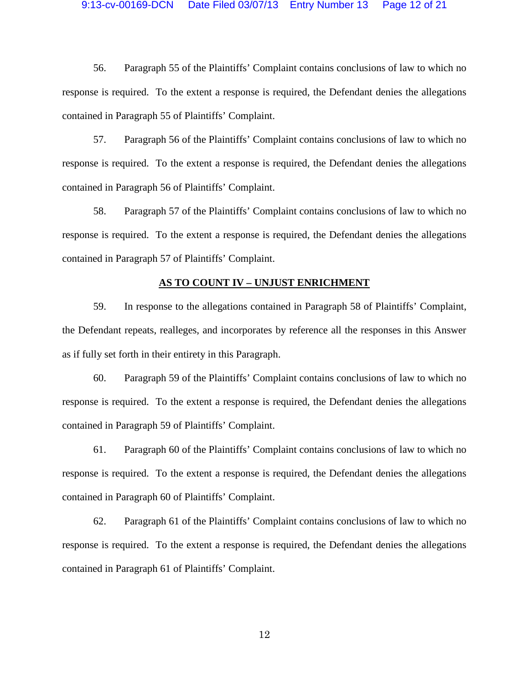#### 9:13-cv-00169-DCN Date Filed 03/07/13 Entry Number 13 Page 12 of 21

56. Paragraph 55 of the Plaintiffs' Complaint contains conclusions of law to which no response is required. To the extent a response is required, the Defendant denies the allegations contained in Paragraph 55 of Plaintiffs' Complaint.

57. Paragraph 56 of the Plaintiffs' Complaint contains conclusions of law to which no response is required. To the extent a response is required, the Defendant denies the allegations contained in Paragraph 56 of Plaintiffs' Complaint.

58. Paragraph 57 of the Plaintiffs' Complaint contains conclusions of law to which no response is required. To the extent a response is required, the Defendant denies the allegations contained in Paragraph 57 of Plaintiffs' Complaint.

### **AS TO COUNT IV – UNJUST ENRICHMENT**

59. In response to the allegations contained in Paragraph 58 of Plaintiffs' Complaint, the Defendant repeats, realleges, and incorporates by reference all the responses in this Answer as if fully set forth in their entirety in this Paragraph.

60. Paragraph 59 of the Plaintiffs' Complaint contains conclusions of law to which no response is required. To the extent a response is required, the Defendant denies the allegations contained in Paragraph 59 of Plaintiffs' Complaint.

61. Paragraph 60 of the Plaintiffs' Complaint contains conclusions of law to which no response is required. To the extent a response is required, the Defendant denies the allegations contained in Paragraph 60 of Plaintiffs' Complaint.

62. Paragraph 61 of the Plaintiffs' Complaint contains conclusions of law to which no response is required. To the extent a response is required, the Defendant denies the allegations contained in Paragraph 61 of Plaintiffs' Complaint.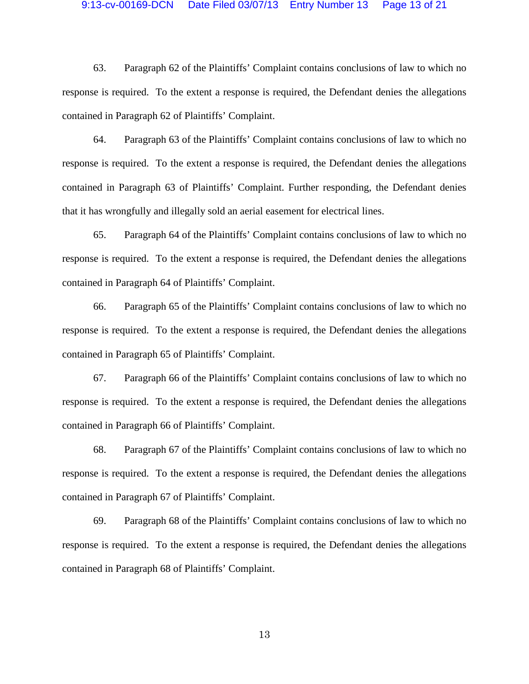#### 9:13-cv-00169-DCN Date Filed 03/07/13 Entry Number 13 Page 13 of 21

63. Paragraph 62 of the Plaintiffs' Complaint contains conclusions of law to which no response is required. To the extent a response is required, the Defendant denies the allegations contained in Paragraph 62 of Plaintiffs' Complaint.

64. Paragraph 63 of the Plaintiffs' Complaint contains conclusions of law to which no response is required. To the extent a response is required, the Defendant denies the allegations contained in Paragraph 63 of Plaintiffs' Complaint. Further responding, the Defendant denies that it has wrongfully and illegally sold an aerial easement for electrical lines.

65. Paragraph 64 of the Plaintiffs' Complaint contains conclusions of law to which no response is required. To the extent a response is required, the Defendant denies the allegations contained in Paragraph 64 of Plaintiffs' Complaint.

66. Paragraph 65 of the Plaintiffs' Complaint contains conclusions of law to which no response is required. To the extent a response is required, the Defendant denies the allegations contained in Paragraph 65 of Plaintiffs' Complaint.

67. Paragraph 66 of the Plaintiffs' Complaint contains conclusions of law to which no response is required. To the extent a response is required, the Defendant denies the allegations contained in Paragraph 66 of Plaintiffs' Complaint.

68. Paragraph 67 of the Plaintiffs' Complaint contains conclusions of law to which no response is required. To the extent a response is required, the Defendant denies the allegations contained in Paragraph 67 of Plaintiffs' Complaint.

69. Paragraph 68 of the Plaintiffs' Complaint contains conclusions of law to which no response is required. To the extent a response is required, the Defendant denies the allegations contained in Paragraph 68 of Plaintiffs' Complaint.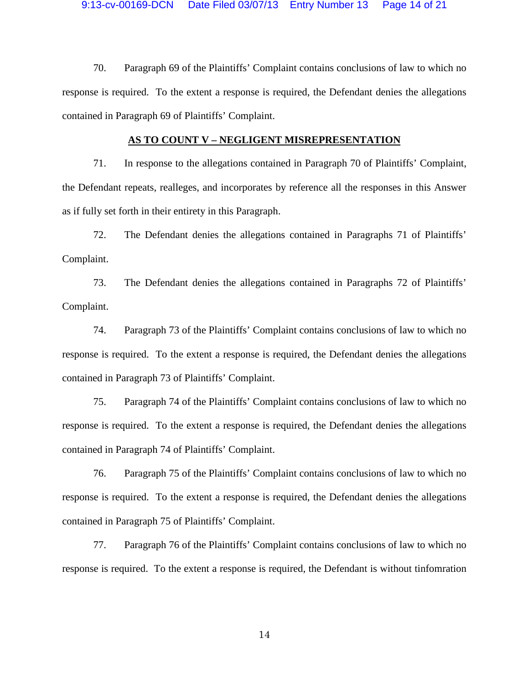70. Paragraph 69 of the Plaintiffs' Complaint contains conclusions of law to which no response is required. To the extent a response is required, the Defendant denies the allegations contained in Paragraph 69 of Plaintiffs' Complaint.

### **AS TO COUNT V – NEGLIGENT MISREPRESENTATION**

71. In response to the allegations contained in Paragraph 70 of Plaintiffs' Complaint, the Defendant repeats, realleges, and incorporates by reference all the responses in this Answer as if fully set forth in their entirety in this Paragraph.

72. The Defendant denies the allegations contained in Paragraphs 71 of Plaintiffs' Complaint.

73. The Defendant denies the allegations contained in Paragraphs 72 of Plaintiffs' Complaint.

74. Paragraph 73 of the Plaintiffs' Complaint contains conclusions of law to which no response is required. To the extent a response is required, the Defendant denies the allegations contained in Paragraph 73 of Plaintiffs' Complaint.

75. Paragraph 74 of the Plaintiffs' Complaint contains conclusions of law to which no response is required. To the extent a response is required, the Defendant denies the allegations contained in Paragraph 74 of Plaintiffs' Complaint.

76. Paragraph 75 of the Plaintiffs' Complaint contains conclusions of law to which no response is required. To the extent a response is required, the Defendant denies the allegations contained in Paragraph 75 of Plaintiffs' Complaint.

77. Paragraph 76 of the Plaintiffs' Complaint contains conclusions of law to which no response is required. To the extent a response is required, the Defendant is without tinfomration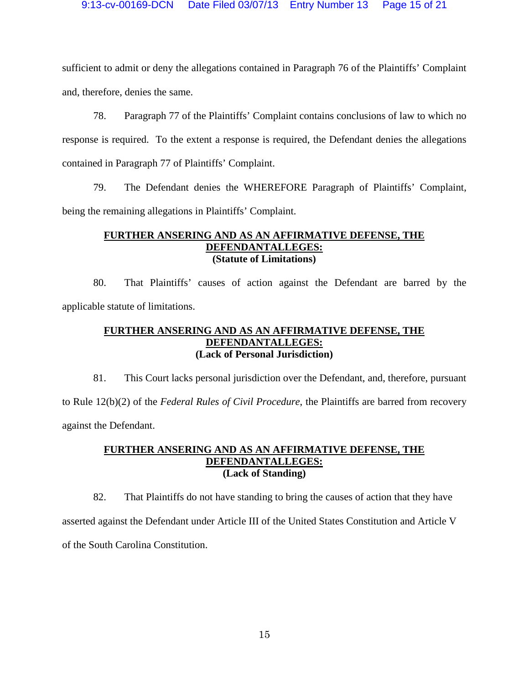sufficient to admit or deny the allegations contained in Paragraph 76 of the Plaintiffs' Complaint and, therefore, denies the same.

78. Paragraph 77 of the Plaintiffs' Complaint contains conclusions of law to which no response is required. To the extent a response is required, the Defendant denies the allegations contained in Paragraph 77 of Plaintiffs' Complaint.

79. The Defendant denies the WHEREFORE Paragraph of Plaintiffs' Complaint, being the remaining allegations in Plaintiffs' Complaint.

# **FURTHER ANSERING AND AS AN AFFIRMATIVE DEFENSE, THE DEFENDANTALLEGES: (Statute of Limitations)**

80. That Plaintiffs' causes of action against the Defendant are barred by the applicable statute of limitations.

# **FURTHER ANSERING AND AS AN AFFIRMATIVE DEFENSE, THE DEFENDANTALLEGES: (Lack of Personal Jurisdiction)**

81. This Court lacks personal jurisdiction over the Defendant, and, therefore, pursuant to Rule 12(b)(2) of the *Federal Rules of Civil Procedure*, the Plaintiffs are barred from recovery against the Defendant.

# **FURTHER ANSERING AND AS AN AFFIRMATIVE DEFENSE, THE DEFENDANTALLEGES: (Lack of Standing)**

82. That Plaintiffs do not have standing to bring the causes of action that they have asserted against the Defendant under Article III of the United States Constitution and Article V of the South Carolina Constitution.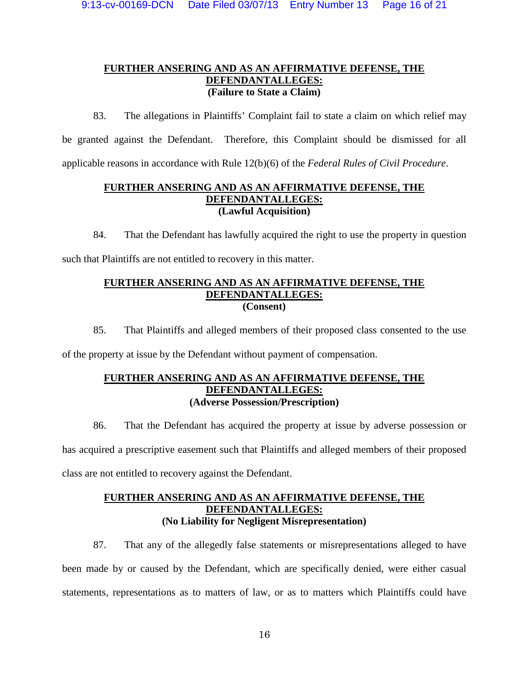# **FURTHER ANSERING AND AS AN AFFIRMATIVE DEFENSE, THE DEFENDANTALLEGES: (Failure to State a Claim)**

83. The allegations in Plaintiffs' Complaint fail to state a claim on which relief may be granted against the Defendant. Therefore, this Complaint should be dismissed for all applicable reasons in accordance with Rule 12(b)(6) of the *Federal Rules of Civil Procedure*.

# **FURTHER ANSERING AND AS AN AFFIRMATIVE DEFENSE, THE DEFENDANTALLEGES: (Lawful Acquisition)**

84. That the Defendant has lawfully acquired the right to use the property in question such that Plaintiffs are not entitled to recovery in this matter.

# **FURTHER ANSERING AND AS AN AFFIRMATIVE DEFENSE, THE DEFENDANTALLEGES: (Consent)**

85. That Plaintiffs and alleged members of their proposed class consented to the use of the property at issue by the Defendant without payment of compensation.

# **FURTHER ANSERING AND AS AN AFFIRMATIVE DEFENSE, THE DEFENDANTALLEGES: (Adverse Possession/Prescription)**

86. That the Defendant has acquired the property at issue by adverse possession or has acquired a prescriptive easement such that Plaintiffs and alleged members of their proposed class are not entitled to recovery against the Defendant.

# **FURTHER ANSERING AND AS AN AFFIRMATIVE DEFENSE, THE DEFENDANTALLEGES: (No Liability for Negligent Misrepresentation)**

87. That any of the allegedly false statements or misrepresentations alleged to have been made by or caused by the Defendant, which are specifically denied, were either casual statements, representations as to matters of law, or as to matters which Plaintiffs could have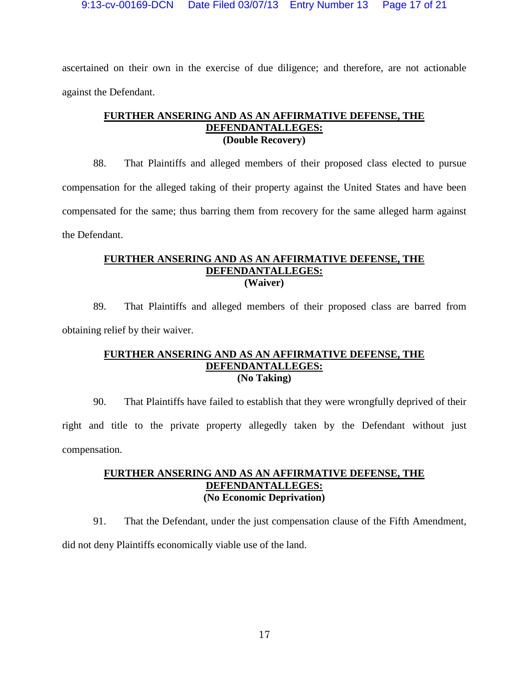ascertained on their own in the exercise of due diligence; and therefore, are not actionable against the Defendant.

# **FURTHER ANSERING AND AS AN AFFIRMATIVE DEFENSE, THE DEFENDANTALLEGES: (Double Recovery)**

88. That Plaintiffs and alleged members of their proposed class elected to pursue compensation for the alleged taking of their property against the United States and have been compensated for the same; thus barring them from recovery for the same alleged harm against the Defendant.

# **FURTHER ANSERING AND AS AN AFFIRMATIVE DEFENSE, THE DEFENDANTALLEGES: (Waiver)**

89. That Plaintiffs and alleged members of their proposed class are barred from obtaining relief by their waiver.

## **FURTHER ANSERING AND AS AN AFFIRMATIVE DEFENSE, THE DEFENDANTALLEGES: (No Taking)**

90. That Plaintiffs have failed to establish that they were wrongfully deprived of their right and title to the private property allegedly taken by the Defendant without just compensation.

# **FURTHER ANSERING AND AS AN AFFIRMATIVE DEFENSE, THE DEFENDANTALLEGES: (No Economic Deprivation)**

91. That the Defendant, under the just compensation clause of the Fifth Amendment,

did not deny Plaintiffs economically viable use of the land.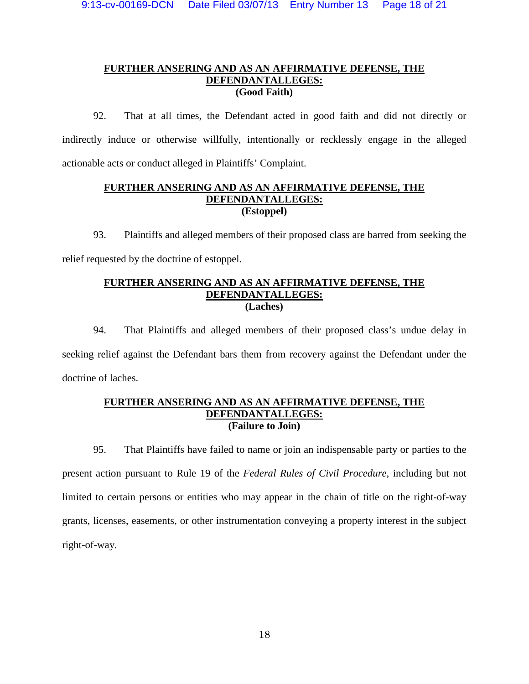# **FURTHER ANSERING AND AS AN AFFIRMATIVE DEFENSE, THE DEFENDANTALLEGES: (Good Faith)**

92. That at all times, the Defendant acted in good faith and did not directly or indirectly induce or otherwise willfully, intentionally or recklessly engage in the alleged actionable acts or conduct alleged in Plaintiffs' Complaint.

# **FURTHER ANSERING AND AS AN AFFIRMATIVE DEFENSE, THE DEFENDANTALLEGES: (Estoppel)**

93. Plaintiffs and alleged members of their proposed class are barred from seeking the relief requested by the doctrine of estoppel.

# **FURTHER ANSERING AND AS AN AFFIRMATIVE DEFENSE, THE DEFENDANTALLEGES: (Laches)**

94. That Plaintiffs and alleged members of their proposed class's undue delay in seeking relief against the Defendant bars them from recovery against the Defendant under the doctrine of laches.

# **FURTHER ANSERING AND AS AN AFFIRMATIVE DEFENSE, THE DEFENDANTALLEGES: (Failure to Join)**

95. That Plaintiffs have failed to name or join an indispensable party or parties to the present action pursuant to Rule 19 of the *Federal Rules of Civil Procedure*, including but not limited to certain persons or entities who may appear in the chain of title on the right-of-way grants, licenses, easements, or other instrumentation conveying a property interest in the subject right-of-way.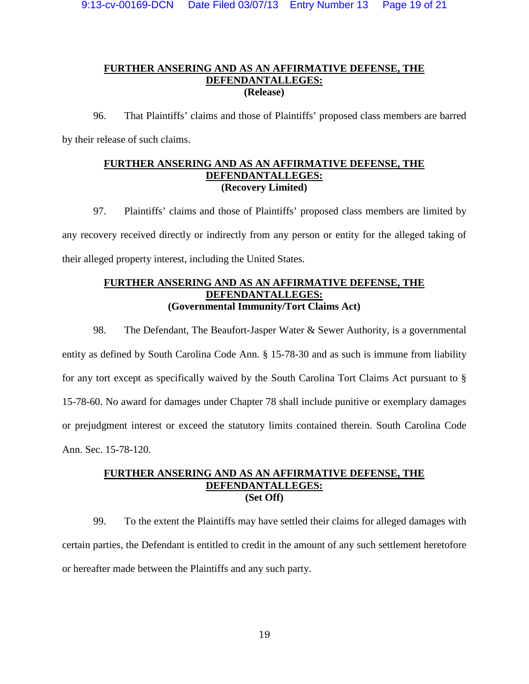# **FURTHER ANSERING AND AS AN AFFIRMATIVE DEFENSE, THE DEFENDANTALLEGES: (Release)**

96. That Plaintiffs' claims and those of Plaintiffs' proposed class members are barred by their release of such claims.

# **FURTHER ANSERING AND AS AN AFFIRMATIVE DEFENSE, THE DEFENDANTALLEGES: (Recovery Limited)**

97. Plaintiffs' claims and those of Plaintiffs' proposed class members are limited by any recovery received directly or indirectly from any person or entity for the alleged taking of their alleged property interest, including the United States.

# **FURTHER ANSERING AND AS AN AFFIRMATIVE DEFENSE, THE DEFENDANTALLEGES: (Governmental Immunity/Tort Claims Act)**

98. The Defendant, The Beaufort-Jasper Water & Sewer Authority, is a governmental entity as defined by South Carolina Code Ann. § 15-78-30 and as such is immune from liability for any tort except as specifically waived by the South Carolina Tort Claims Act pursuant to § 15-78-60. No award for damages under Chapter 78 shall include punitive or exemplary damages or prejudgment interest or exceed the statutory limits contained therein. South Carolina Code Ann. Sec. 15-78-120.

# **FURTHER ANSERING AND AS AN AFFIRMATIVE DEFENSE, THE DEFENDANTALLEGES: (Set Off)**

99. To the extent the Plaintiffs may have settled their claims for alleged damages with certain parties, the Defendant is entitled to credit in the amount of any such settlement heretofore or hereafter made between the Plaintiffs and any such party.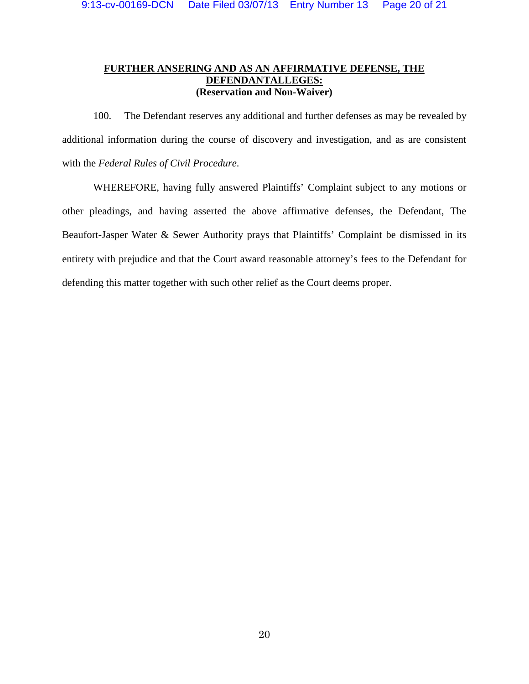# **FURTHER ANSERING AND AS AN AFFIRMATIVE DEFENSE, THE DEFENDANTALLEGES: (Reservation and Non-Waiver)**

100. The Defendant reserves any additional and further defenses as may be revealed by additional information during the course of discovery and investigation, and as are consistent with the *Federal Rules of Civil Procedure*.

WHEREFORE, having fully answered Plaintiffs' Complaint subject to any motions or other pleadings, and having asserted the above affirmative defenses, the Defendant, The Beaufort-Jasper Water & Sewer Authority prays that Plaintiffs' Complaint be dismissed in its entirety with prejudice and that the Court award reasonable attorney's fees to the Defendant for defending this matter together with such other relief as the Court deems proper.